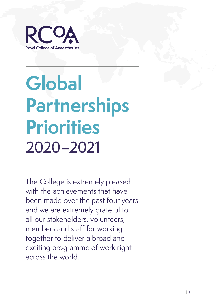

# **Global Partnerships Priorities** 2020–2021

The College is extremely pleased with the achievements that have been made over the past four years and we are extremely grateful to all our stakeholders, volunteers, members and staff for working together to deliver a broad and exciting programme of work right across the world.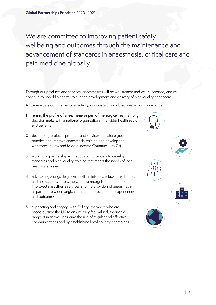We are committed to improving patient safety, wellbeing and outcomes through the maintenance and advancement of standards in anaesthesia, critical care and pain medicine globally

Through our products and services, anaesthetists will be well trained and well supported, and will continue to uphold a central role in the development and delivery of high-quality healthcare.

As we evaluate our international activity, our overarching objectives will continue to be:

- **1** raising the profile of anaesthesia as part of the surgical team among decision makers, international organisations, the wider health sector and patients
- **2** developing projects, products and services that share good practice and improve anaesthesia training and develop the workforce in Low and Middle Income Countries (LMICs)
- **3** working in partnership with education providers to develop standards and high-quality training that meets the needs of local healthcare systems
- **4** advocating alongside global health ministries, educational bodies and associations across the world to recognise the need for improved anaesthesia services and the provision of anaesthesia as part of the wider surgical team to improve patient experiences and outcomes
- **5** supporting and engage with College members who are based outside the UK to ensure they feel valued, through a range of initiatives including the use of regular and effective communications and by establishing local country champions.









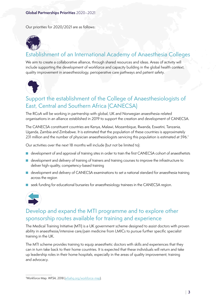Our priorities for 2020/2021 are as follows:



# Establishment of an International Academy of Anaesthesia Colleges

We aim to create a collaborative alliance, through shared resources and ideas. Areas of activity will include supporting the development of workforce and capacity building in the global health context, quality improvement in anaesthesiology, perioperative care pathways and patient safety.



# Support the establishment of the College of Anaesthesiologists of East, Central and Southern Africa (CANECSA)

The RCoA will be working in partnership with global, UK and Norwegian anaesthesia-related organisations in an alliance established in 2019 to support the creation and development of CANECSA.

The CANECSA constituent countries are Kenya, Malawi, Mozambique, Rwanda, Eswatini, Tanzania, Uganda, Zambia and Zimbabwe. It is estimated that the population of these countries is approximately 231 million and the number of physician anaesthesiologists servicing this population is estimated at 596.<sup>†</sup>

Our activities over the next 18 months will include (but not be limited to):

- development of and approval of training sites in order to train the first CANECSA cohort of anaesthetists
- development and delivery of training of trainers and training courses to improve the infrastructure to deliver high-quality, competency-based training
- development and delivery of CANECSA examinations to set a national standard for anaesthesia training across the region
- seek funding for educational bursaries for anaesthesiology trainees in the CANECSA region.



# Develop and expand the MTI programme and to explore other sponsorship routes available for training and experience

The Medical Training Initiative (MTI) is a UK government scheme designed to assist doctors with proven ability in anaesthesia/intensive care/pain medicine from LMICs to pursue further specific specialist training in the UK.

The MTI scheme provides training to equip anaesthetic doctors with skills and experiences that they can in turn take back to their home countries. It is expected that these individuals will return and take up leadership roles in their home hospitals, especially in the areas of quality improvement, training and advocacy.

<sup>†</sup> Workforce Map. *WFSA*, 2018 ([wfsahq.org/workforce-map\)](http://wfsahq.org/workforce-map).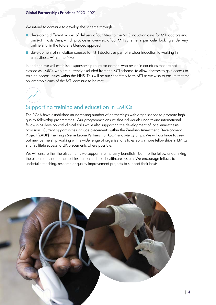#### **Global Partnerships Priorities** 2020–2021

We intend to continue to develop the scheme through:

- developing different modes of delivery of our New to the NHS induction days for MTI doctors and our MTI Hosts Days, which provide an overview of our MTI scheme, in particular looking at delivery online and, in the future, a blended approach
- development of simulation courses for MTI doctors as part of a wider induction to working in anaesthesia within the NHS.

In addition, we will establish a sponsorship route for doctors who reside in countries that are not classed as LMICs, who are currently excluded from the MTI scheme, to allow doctors to gain access to training opportunities within the NHS. This will be run separately form MTI as we wish to ensure that the philanthropic aims of the MTI continue to be met.



## Supporting training and education in LMICs

The RCoA have established an increasing number of partnerships with organisations to promote highquality fellowship programmes. Our programmes ensure that individuals undertaking international fellowships develop vital clinical skills while also supporting the development of local anaesthesia provision. Current opportunities include placements within the Zambian Anaesthetic Development Project (ZADP), the King's Sierra Leone Partnership (KSLP) and Mercy Ships. We will continue to seek out new partnership working with a wide range of organisations to establish more fellowships in LMICs and facilitate access to UK placements where possible.

We will ensure that the placements we support are mutually beneficial, both to the fellow undertaking the placement and to the host institution and host healthcare system. We encourage fellows to undertake teaching, research or quality improvement projects to support their hosts.